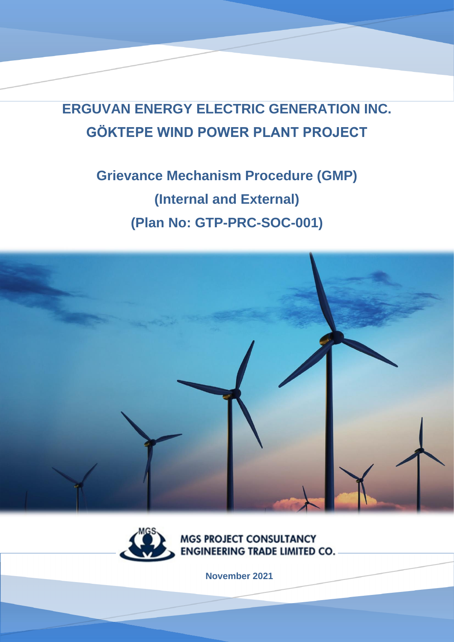**ERGUVAN ENERGY ELECTRIC GENERATION INC. GÖKTEPE WIND POWER PLANT PROJECT**

# **Grievance Mechanism Procedure (GMP) (Internal and External) (Plan No: GTP-PRC-SOC-001)**





**MGS PROJECT CONSULTANCY ENGINEERING TRADE LIMITED CO.** 

**November 2021**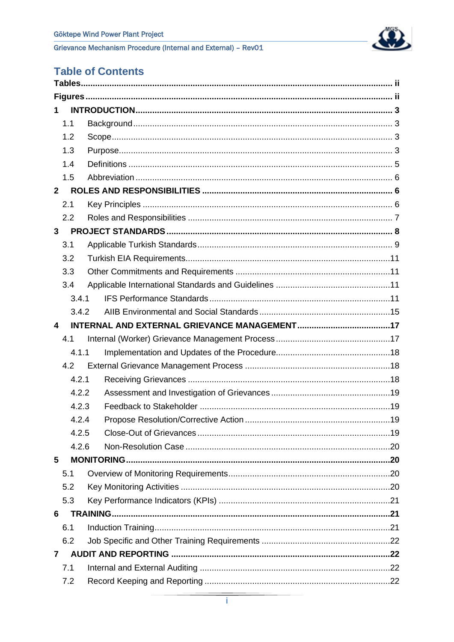

# **Table of Contents**

| 1              |  |
|----------------|--|
| 1.1            |  |
| 1.2            |  |
| 1.3            |  |
| 1.4            |  |
| 1.5            |  |
| $\overline{2}$ |  |
| 2.1            |  |
| 2.2            |  |
| 3              |  |
| 3.1            |  |
| 3.2            |  |
| 3.3            |  |
| 3.4            |  |
| 3.4.1          |  |
| 3.4.2          |  |
| 4              |  |
| 4.1            |  |
| 4.1.1          |  |
| 4.2            |  |
| 4.2.1          |  |
| 4.2.2          |  |
| 4.2.3          |  |
| 4.2.4          |  |
| 4.2.5          |  |
| 4.2.6          |  |
| 5              |  |
| 5.1            |  |
| 5.2            |  |
| 5.3            |  |
| 6              |  |
| 6.1            |  |
| 6.2            |  |
| 7              |  |
| 7.1            |  |
| 7.2            |  |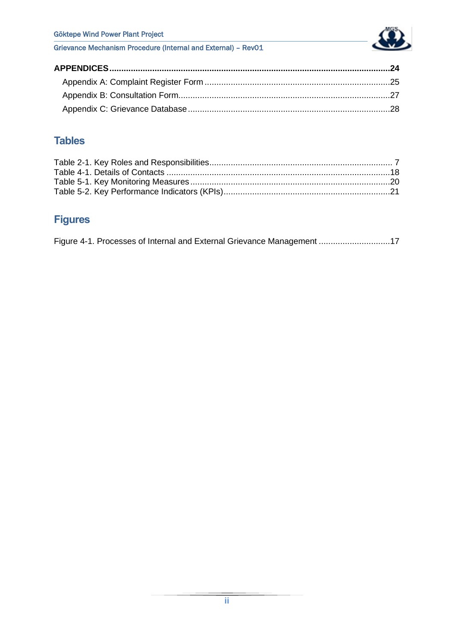Göktepe Wind Power Plant Project



Grievance Mechanism Procedure (Internal and External) – Rev01

# <span id="page-2-0"></span>**Tables**

# <span id="page-2-1"></span>**Figures**

|  | Figure 4-1. Processes of Internal and External Grievance Management 17 |  |
|--|------------------------------------------------------------------------|--|
|  |                                                                        |  |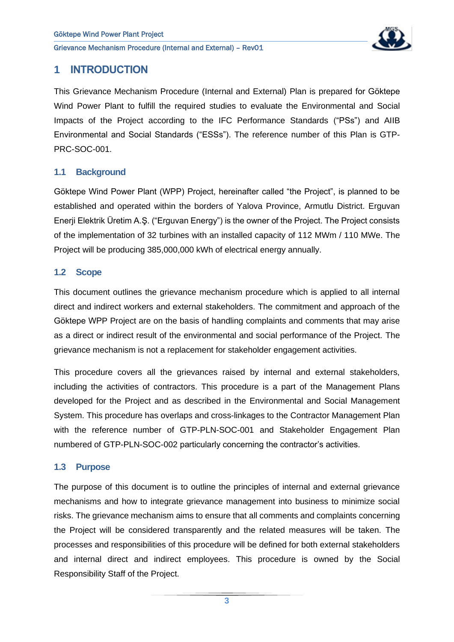

## <span id="page-3-0"></span>**1 INTRODUCTION**

This Grievance Mechanism Procedure (Internal and External) Plan is prepared for Göktepe Wind Power Plant to fulfill the required studies to evaluate the Environmental and Social Impacts of the Project according to the IFC Performance Standards ("PSs") and AIIB Environmental and Social Standards ("ESSs"). The reference number of this Plan is GTP-PRC-SOC-001.

#### <span id="page-3-1"></span>**1.1 Background**

Göktepe Wind Power Plant (WPP) Project, hereinafter called "the Project", is planned to be established and operated within the borders of Yalova Province, Armutlu District. Erguvan Enerji Elektrik Üretim A.Ş. ("Erguvan Energy") is the owner of the Project. The Project consists of the implementation of 32 turbines with an installed capacity of 112 MWm / 110 MWe. The Project will be producing 385,000,000 kWh of electrical energy annually.

#### <span id="page-3-2"></span>**1.2 Scope**

This document outlines the grievance mechanism procedure which is applied to all internal direct and indirect workers and external stakeholders. The commitment and approach of the Göktepe WPP Project are on the basis of handling complaints and comments that may arise as a direct or indirect result of the environmental and social performance of the Project. The grievance mechanism is not a replacement for stakeholder engagement activities.

This procedure covers all the grievances raised by internal and external stakeholders, including the activities of contractors. This procedure is a part of the Management Plans developed for the Project and as described in the Environmental and Social Management System. This procedure has overlaps and cross-linkages to the Contractor Management Plan with the reference number of GTP-PLN-SOC-001 and Stakeholder Engagement Plan numbered of GTP-PLN-SOC-002 particularly concerning the contractor's activities.

#### <span id="page-3-3"></span>**1.3 Purpose**

The purpose of this document is to outline the principles of internal and external grievance mechanisms and how to integrate grievance management into business to minimize social risks. The grievance mechanism aims to ensure that all comments and complaints concerning the Project will be considered transparently and the related measures will be taken. The processes and responsibilities of this procedure will be defined for both external stakeholders and internal direct and indirect employees. This procedure is owned by the Social Responsibility Staff of the Project.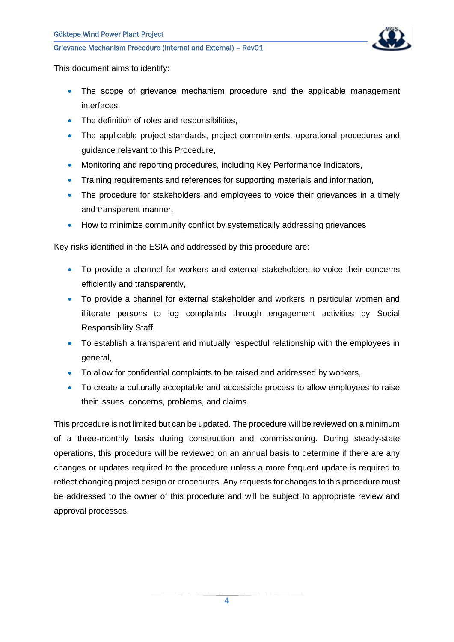

This document aims to identify:

- The scope of grievance mechanism procedure and the applicable management interfaces,
- The definition of roles and responsibilities,
- The applicable project standards, project commitments, operational procedures and guidance relevant to this Procedure,
- Monitoring and reporting procedures, including Key Performance Indicators,
- Training requirements and references for supporting materials and information,
- The procedure for stakeholders and employees to voice their grievances in a timely and transparent manner,
- How to minimize community conflict by systematically addressing grievances

Key risks identified in the ESIA and addressed by this procedure are:

- To provide a channel for workers and external stakeholders to voice their concerns efficiently and transparently,
- To provide a channel for external stakeholder and workers in particular women and illiterate persons to log complaints through engagement activities by Social Responsibility Staff,
- To establish a transparent and mutually respectful relationship with the employees in general,
- To allow for confidential complaints to be raised and addressed by workers,
- To create a culturally acceptable and accessible process to allow employees to raise their issues, concerns, problems, and claims.

This procedure is not limited but can be updated. The procedure will be reviewed on a minimum of a three-monthly basis during construction and commissioning. During steady-state operations, this procedure will be reviewed on an annual basis to determine if there are any changes or updates required to the procedure unless a more frequent update is required to reflect changing project design or procedures. Any requests for changes to this procedure must be addressed to the owner of this procedure and will be subject to appropriate review and approval processes.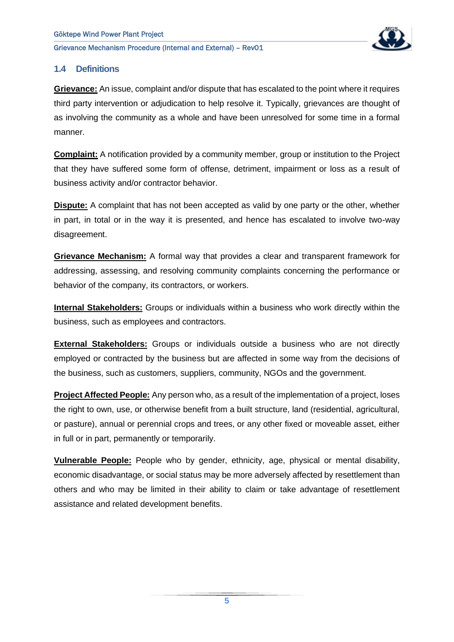

#### <span id="page-5-0"></span>**1.4 Definitions**

**Grievance:** An issue, complaint and/or dispute that has escalated to the point where it requires third party intervention or adjudication to help resolve it. Typically, grievances are thought of as involving the community as a whole and have been unresolved for some time in a formal manner.

**Complaint:** A notification provided by a community member, group or institution to the Project that they have suffered some form of offense, detriment, impairment or loss as a result of business activity and/or contractor behavior.

**Dispute:** A complaint that has not been accepted as valid by one party or the other, whether in part, in total or in the way it is presented, and hence has escalated to involve two-way disagreement.

**Grievance Mechanism:** A formal way that provides a clear and transparent framework for addressing, assessing, and resolving community complaints concerning the performance or behavior of the company, its contractors, or workers.

**Internal Stakeholders:** Groups or individuals within a business who work directly within the business, such as employees and contractors.

**External Stakeholders:** Groups or individuals outside a business who are not directly employed or contracted by the business but are affected in some way from the decisions of the business, such as customers, suppliers, community, NGOs and the government.

**Project Affected People:** Any person who, as a result of the implementation of a project, loses the right to own, use, or otherwise benefit from a built structure, land (residential, agricultural, or pasture), annual or perennial crops and trees, or any other fixed or moveable asset, either in full or in part, permanently or temporarily.

**Vulnerable People:** People who by gender, ethnicity, age, physical or mental disability, economic disadvantage, or social status may be more adversely affected by resettlement than others and who may be limited in their ability to claim or take advantage of resettlement assistance and related development benefits.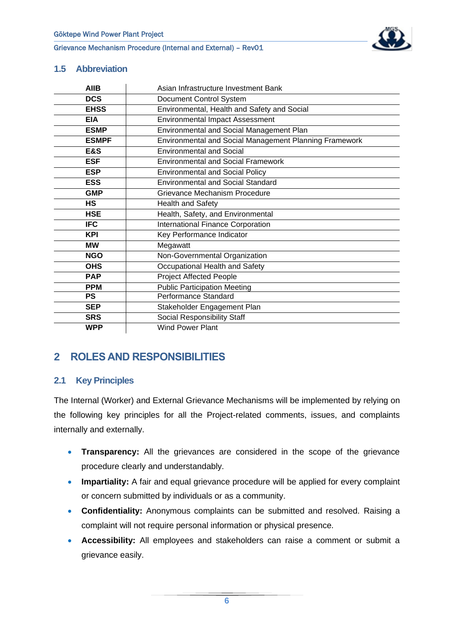

#### <span id="page-6-0"></span>**1.5 Abbreviation**

| <b>AIIB</b>  | Asian Infrastructure Investment Bank                          |  |  |
|--------------|---------------------------------------------------------------|--|--|
| <b>DCS</b>   | Document Control System                                       |  |  |
| <b>EHSS</b>  | Environmental, Health and Safety and Social                   |  |  |
| <b>EIA</b>   | <b>Environmental Impact Assessment</b>                        |  |  |
| <b>ESMP</b>  | Environmental and Social Management Plan                      |  |  |
| <b>ESMPF</b> | <b>Environmental and Social Management Planning Framework</b> |  |  |
| E&S          | <b>Environmental and Social</b>                               |  |  |
| <b>ESF</b>   | <b>Environmental and Social Framework</b>                     |  |  |
| <b>ESP</b>   | <b>Environmental and Social Policy</b>                        |  |  |
| <b>ESS</b>   | <b>Environmental and Social Standard</b>                      |  |  |
| <b>GMP</b>   | Grievance Mechanism Procedure                                 |  |  |
| <b>HS</b>    | Health and Safety                                             |  |  |
| <b>HSE</b>   | Health, Safety, and Environmental                             |  |  |
| <b>IFC</b>   | International Finance Corporation                             |  |  |
| <b>KPI</b>   | Key Performance Indicator                                     |  |  |
| <b>MW</b>    | Megawatt                                                      |  |  |
| <b>NGO</b>   | Non-Governmental Organization                                 |  |  |
| <b>OHS</b>   | Occupational Health and Safety                                |  |  |
| <b>PAP</b>   | <b>Project Affected People</b>                                |  |  |
| <b>PPM</b>   | <b>Public Participation Meeting</b>                           |  |  |
| <b>PS</b>    | Performance Standard                                          |  |  |
| <b>SEP</b>   | Stakeholder Engagement Plan                                   |  |  |
| <b>SRS</b>   | Social Responsibility Staff                                   |  |  |
| <b>WPP</b>   | <b>Wind Power Plant</b>                                       |  |  |

# <span id="page-6-1"></span>**2 ROLES AND RESPONSIBILITIES**

#### <span id="page-6-2"></span>**2.1 Key Principles**

The Internal (Worker) and External Grievance Mechanisms will be implemented by relying on the following key principles for all the Project-related comments, issues, and complaints internally and externally.

- **Transparency:** All the grievances are considered in the scope of the grievance procedure clearly and understandably.
- **Impartiality:** A fair and equal grievance procedure will be applied for every complaint or concern submitted by individuals or as a community.
- **Confidentiality:** Anonymous complaints can be submitted and resolved. Raising a complaint will not require personal information or physical presence.
- **Accessibility:** All employees and stakeholders can raise a comment or submit a grievance easily.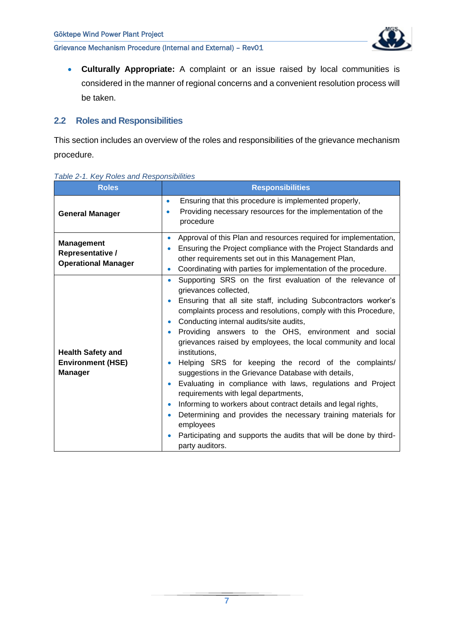

• **Culturally Appropriate:** A complaint or an issue raised by local communities is considered in the manner of regional concerns and a convenient resolution process will be taken.

#### <span id="page-7-0"></span>**2.2 Roles and Responsibilities**

This section includes an overview of the roles and responsibilities of the grievance mechanism procedure.

| <b>Roles</b>                                                           | <b>Responsibilities</b>                                                                                                                                                                                                                                                                                                                                                                                                                                                                                                                                                                                                                                                                                                                                                                                                                                                                        |
|------------------------------------------------------------------------|------------------------------------------------------------------------------------------------------------------------------------------------------------------------------------------------------------------------------------------------------------------------------------------------------------------------------------------------------------------------------------------------------------------------------------------------------------------------------------------------------------------------------------------------------------------------------------------------------------------------------------------------------------------------------------------------------------------------------------------------------------------------------------------------------------------------------------------------------------------------------------------------|
| <b>General Manager</b>                                                 | Ensuring that this procedure is implemented properly,<br>$\bullet$<br>Providing necessary resources for the implementation of the<br>$\bullet$<br>procedure                                                                                                                                                                                                                                                                                                                                                                                                                                                                                                                                                                                                                                                                                                                                    |
| <b>Management</b><br>Representative /<br><b>Operational Manager</b>    | Approval of this Plan and resources required for implementation,<br>Ensuring the Project compliance with the Project Standards and<br>other requirements set out in this Management Plan,<br>Coordinating with parties for implementation of the procedure.<br>$\bullet$                                                                                                                                                                                                                                                                                                                                                                                                                                                                                                                                                                                                                       |
| <b>Health Safety and</b><br><b>Environment (HSE)</b><br><b>Manager</b> | Supporting SRS on the first evaluation of the relevance of<br>$\bullet$<br>grievances collected,<br>Ensuring that all site staff, including Subcontractors worker's<br>complaints process and resolutions, comply with this Procedure,<br>Conducting internal audits/site audits,<br>Providing answers to the OHS, environment and social<br>۰<br>grievances raised by employees, the local community and local<br>institutions,<br>Helping SRS for keeping the record of the complaints/<br>suggestions in the Grievance Database with details,<br>Evaluating in compliance with laws, regulations and Project<br>requirements with legal departments,<br>Informing to workers about contract details and legal rights,<br>Determining and provides the necessary training materials for<br>employees<br>Participating and supports the audits that will be done by third-<br>party auditors. |

#### <span id="page-7-1"></span>*Table 2-1. Key Roles and Responsibilities*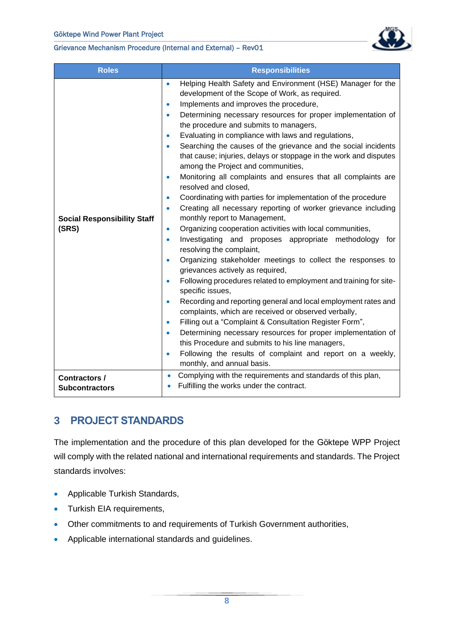

| <b>Roles</b>                                  | <b>Responsibilities</b>                                                                                                                                                                                                                                                                                                                                                                                                                                                                                                                                                                                                                                                                                                                                                                                                                                                                                                                                                                                                                                                                                                                                                                                                                                                                                                                                                                                                                                                                                                                                                                                                                                                                                                      |
|-----------------------------------------------|------------------------------------------------------------------------------------------------------------------------------------------------------------------------------------------------------------------------------------------------------------------------------------------------------------------------------------------------------------------------------------------------------------------------------------------------------------------------------------------------------------------------------------------------------------------------------------------------------------------------------------------------------------------------------------------------------------------------------------------------------------------------------------------------------------------------------------------------------------------------------------------------------------------------------------------------------------------------------------------------------------------------------------------------------------------------------------------------------------------------------------------------------------------------------------------------------------------------------------------------------------------------------------------------------------------------------------------------------------------------------------------------------------------------------------------------------------------------------------------------------------------------------------------------------------------------------------------------------------------------------------------------------------------------------------------------------------------------------|
| <b>Social Responsibility Staff</b><br>(SRS)   | Helping Health Safety and Environment (HSE) Manager for the<br>$\bullet$<br>development of the Scope of Work, as required.<br>Implements and improves the procedure,<br>$\bullet$<br>Determining necessary resources for proper implementation of<br>$\bullet$<br>the procedure and submits to managers,<br>Evaluating in compliance with laws and regulations,<br>$\bullet$<br>Searching the causes of the grievance and the social incidents<br>$\bullet$<br>that cause; injuries, delays or stoppage in the work and disputes<br>among the Project and communities,<br>Monitoring all complaints and ensures that all complaints are<br>$\bullet$<br>resolved and closed,<br>Coordinating with parties for implementation of the procedure<br>۰<br>Creating all necessary reporting of worker grievance including<br>$\bullet$<br>monthly report to Management,<br>Organizing cooperation activities with local communities,<br>۰<br>Investigating and proposes appropriate<br>methodology<br>for<br>$\bullet$<br>resolving the complaint,<br>Organizing stakeholder meetings to collect the responses to<br>$\bullet$<br>grievances actively as required,<br>Following procedures related to employment and training for site-<br>$\bullet$<br>specific issues,<br>Recording and reporting general and local employment rates and<br>$\bullet$<br>complaints, which are received or observed verbally,<br>Filling out a "Complaint & Consultation Register Form",<br>$\bullet$<br>Determining necessary resources for proper implementation of<br>$\bullet$<br>this Procedure and submits to his line managers,<br>Following the results of complaint and report on a weekly,<br>$\bullet$<br>monthly, and annual basis. |
| <b>Contractors /</b><br><b>Subcontractors</b> | Complying with the requirements and standards of this plan,<br>$\bullet$<br>Fulfilling the works under the contract.                                                                                                                                                                                                                                                                                                                                                                                                                                                                                                                                                                                                                                                                                                                                                                                                                                                                                                                                                                                                                                                                                                                                                                                                                                                                                                                                                                                                                                                                                                                                                                                                         |

# <span id="page-8-0"></span>**3 PROJECT STANDARDS**

The implementation and the procedure of this plan developed for the Göktepe WPP Project will comply with the related national and international requirements and standards. The Project standards involves:

- Applicable Turkish Standards,
- Turkish EIA requirements,
- Other commitments to and requirements of Turkish Government authorities,
- Applicable international standards and guidelines.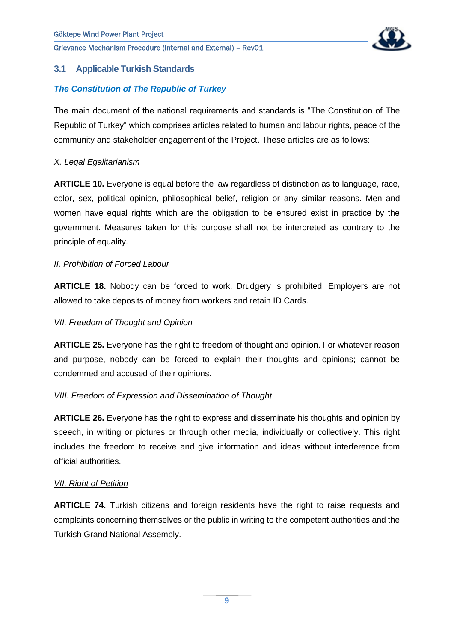

### <span id="page-9-0"></span>**3.1 Applicable Turkish Standards**

### *The Constitution of The Republic of Turkey*

The main document of the national requirements and standards is "The Constitution of The Republic of Turkey" which comprises articles related to human and labour rights, peace of the community and stakeholder engagement of the Project. These articles are as follows:

#### *X. Legal Egalitarianism*

**ARTICLE 10.** Everyone is equal before the law regardless of distinction as to language, race, color, sex, political opinion, philosophical belief, religion or any similar reasons. Men and women have equal rights which are the obligation to be ensured exist in practice by the government. Measures taken for this purpose shall not be interpreted as contrary to the principle of equality.

#### *II. Prohibition of Forced Labour*

**ARTICLE 18.** Nobody can be forced to work. Drudgery is prohibited. Employers are not allowed to take deposits of money from workers and retain ID Cards.

#### *VII. Freedom of Thought and Opinion*

**ARTICLE 25.** Everyone has the right to freedom of thought and opinion. For whatever reason and purpose, nobody can be forced to explain their thoughts and opinions; cannot be condemned and accused of their opinions.

#### *VIII. Freedom of Expression and Dissemination of Thought*

**ARTICLE 26.** Everyone has the right to express and disseminate his thoughts and opinion by speech, in writing or pictures or through other media, individually or collectively. This right includes the freedom to receive and give information and ideas without interference from official authorities.

#### *VII. Right of Petition*

**ARTICLE 74.** Turkish citizens and foreign residents have the right to raise requests and complaints concerning themselves or the public in writing to the competent authorities and the Turkish Grand National Assembly.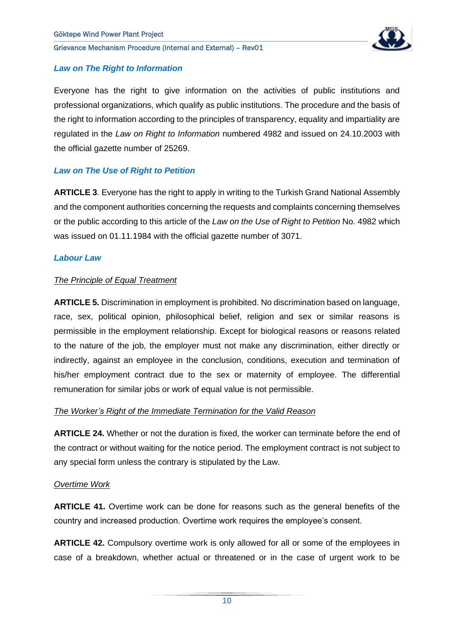

#### *Law on The Right to Information*

Everyone has the right to give information on the activities of public institutions and professional organizations, which qualify as public institutions. The procedure and the basis of the right to information according to the principles of transparency, equality and impartiality are regulated in the *Law on Right to Information* numbered 4982 and issued on 24.10.2003 with the official gazette number of 25269.

#### *Law on The Use of Right to Petition*

**ARTICLE 3**. Everyone has the right to apply in writing to the Turkish Grand National Assembly and the component authorities concerning the requests and complaints concerning themselves or the public according to this article of the *Law on the Use of Right to Petition* No. 4982 which was issued on 01.11.1984 with the official gazette number of 3071.

#### *Labour Law*

#### *The Principle of Equal Treatment*

**ARTICLE 5.** Discrimination in employment is prohibited. No discrimination based on language, race, sex, political opinion, philosophical belief, religion and sex or similar reasons is permissible in the employment relationship. Except for biological reasons or reasons related to the nature of the job, the employer must not make any discrimination, either directly or indirectly, against an employee in the conclusion, conditions, execution and termination of his/her employment contract due to the sex or maternity of employee. The differential remuneration for similar jobs or work of equal value is not permissible.

#### *The Worker's Right of the Immediate Termination for the Valid Reason*

**ARTICLE 24.** Whether or not the duration is fixed, the worker can terminate before the end of the contract or without waiting for the notice period. The employment contract is not subject to any special form unless the contrary is stipulated by the Law.

#### *Overtime Work*

**ARTICLE 41.** Overtime work can be done for reasons such as the general benefits of the country and increased production. Overtime work requires the employee's consent.

**ARTICLE 42.** Compulsory overtime work is only allowed for all or some of the employees in case of a breakdown, whether actual or threatened or in the case of urgent work to be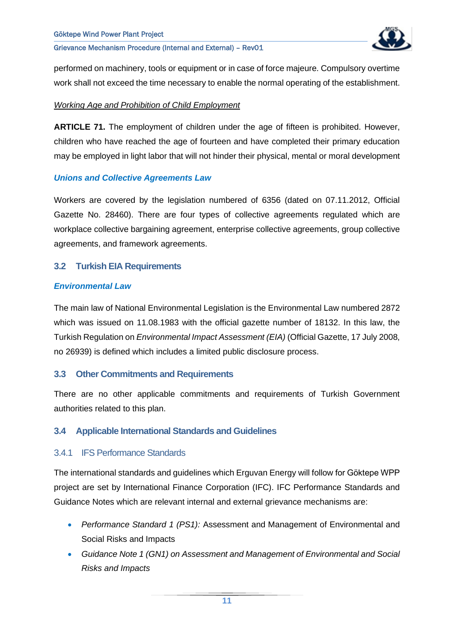

performed on machinery, tools or equipment or in case of force majeure. Compulsory overtime work shall not exceed the time necessary to enable the normal operating of the establishment.

#### *Working Age and Prohibition of Child Employment*

**ARTICLE 71.** The employment of children under the age of fifteen is prohibited. However, children who have reached the age of fourteen and have completed their primary education may be employed in light labor that will not hinder their physical, mental or moral development

#### *Unions and Collective Agreements Law*

Workers are covered by the legislation numbered of 6356 (dated on 07.11.2012, Official Gazette No. 28460). There are four types of collective agreements regulated which are workplace collective bargaining agreement, enterprise collective agreements, group collective agreements, and framework agreements.

#### <span id="page-11-0"></span>**3.2 Turkish EIA Requirements**

#### *Environmental Law*

The main law of National Environmental Legislation is the Environmental Law numbered 2872 which was issued on 11.08.1983 with the official gazette number of 18132. In this law, the Turkish Regulation on *Environmental Impact Assessment (EIA)* (Official Gazette, 17 July 2008, no 26939) is defined which includes a limited public disclosure process.

#### <span id="page-11-1"></span>**3.3 Other Commitments and Requirements**

There are no other applicable commitments and requirements of Turkish Government authorities related to this plan.

#### <span id="page-11-2"></span>**3.4 Applicable International Standards and Guidelines**

#### <span id="page-11-3"></span>3.4.1 IFS Performance Standards

The international standards and guidelines which Erguvan Energy will follow for Göktepe WPP project are set by International Finance Corporation (IFC). IFC Performance Standards and Guidance Notes which are relevant internal and external grievance mechanisms are:

- *Performance Standard 1 (PS1):* Assessment and Management of Environmental and Social Risks and Impacts
- *Guidance Note 1 (GN1) on Assessment and Management of Environmental and Social Risks and Impacts*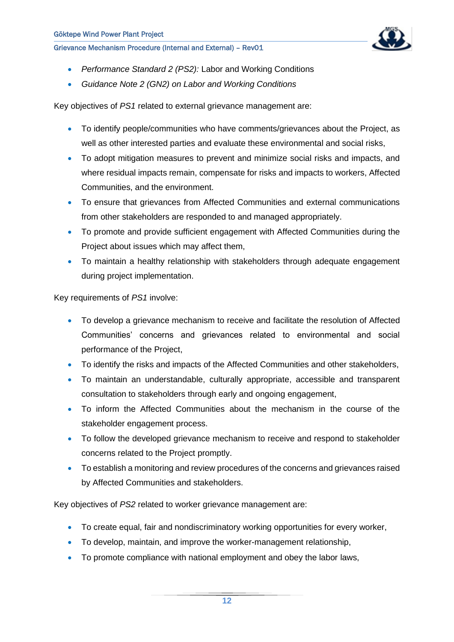

- *Performance Standard 2 (PS2):* Labor and Working Conditions
- *Guidance Note 2 (GN2) on Labor and Working Conditions*

Key objectives of *PS1* related to external grievance management are:

- To identify people/communities who have comments/grievances about the Project, as well as other interested parties and evaluate these environmental and social risks,
- To adopt mitigation measures to prevent and minimize social risks and impacts, and where residual impacts remain, compensate for risks and impacts to workers, Affected Communities, and the environment.
- To ensure that grievances from Affected Communities and external communications from other stakeholders are responded to and managed appropriately.
- To promote and provide sufficient engagement with Affected Communities during the Project about issues which may affect them,
- To maintain a healthy relationship with stakeholders through adequate engagement during project implementation.

Key requirements of *PS1* involve:

- To develop a grievance mechanism to receive and facilitate the resolution of Affected Communities' concerns and grievances related to environmental and social performance of the Project,
- To identify the risks and impacts of the Affected Communities and other stakeholders,
- To maintain an understandable, culturally appropriate, accessible and transparent consultation to stakeholders through early and ongoing engagement,
- To inform the Affected Communities about the mechanism in the course of the stakeholder engagement process.
- To follow the developed grievance mechanism to receive and respond to stakeholder concerns related to the Project promptly.
- To establish a monitoring and review procedures of the concerns and grievances raised by Affected Communities and stakeholders.

Key objectives of *PS2* related to worker grievance management are:

- To create equal, fair and nondiscriminatory working opportunities for every worker,
- To develop, maintain, and improve the worker-management relationship,
- To promote compliance with national employment and obey the labor laws,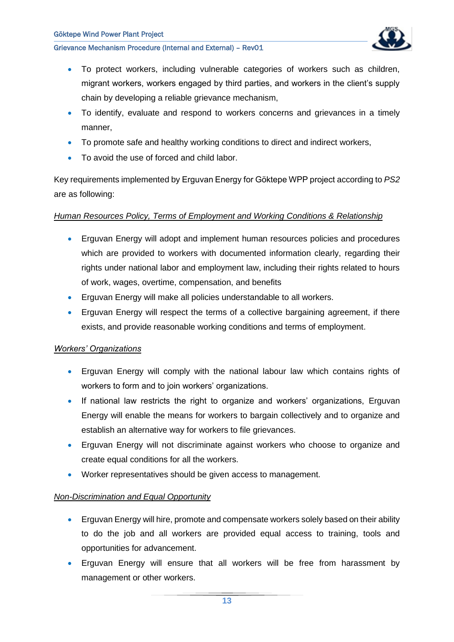

- To protect workers, including vulnerable categories of workers such as children, migrant workers, workers engaged by third parties, and workers in the client's supply chain by developing a reliable grievance mechanism,
- To identify, evaluate and respond to workers concerns and grievances in a timely manner,
- To promote safe and healthy working conditions to direct and indirect workers,
- To avoid the use of forced and child labor.

Key requirements implemented by Erguvan Energy for Göktepe WPP project according to *PS2*  are as following:

#### *Human Resources Policy, Terms of Employment and Working Conditions & Relationship*

- Erguvan Energy will adopt and implement human resources policies and procedures which are provided to workers with documented information clearly, regarding their rights under national labor and employment law, including their rights related to hours of work, wages, overtime, compensation, and benefits
- Erguvan Energy will make all policies understandable to all workers.
- Erguvan Energy will respect the terms of a collective bargaining agreement, if there exists, and provide reasonable working conditions and terms of employment.

#### *Workers' Organizations*

- Erguvan Energy will comply with the national labour law which contains rights of workers to form and to join workers' organizations.
- If national law restricts the right to organize and workers' organizations, Erguvan Energy will enable the means for workers to bargain collectively and to organize and establish an alternative way for workers to file grievances.
- Erguvan Energy will not discriminate against workers who choose to organize and create equal conditions for all the workers.
- Worker representatives should be given access to management.

#### *Non-Discrimination and Equal Opportunity*

- Erguvan Energy will hire, promote and compensate workers solely based on their ability to do the job and all workers are provided equal access to training, tools and opportunities for advancement.
- Erguvan Energy will ensure that all workers will be free from harassment by management or other workers.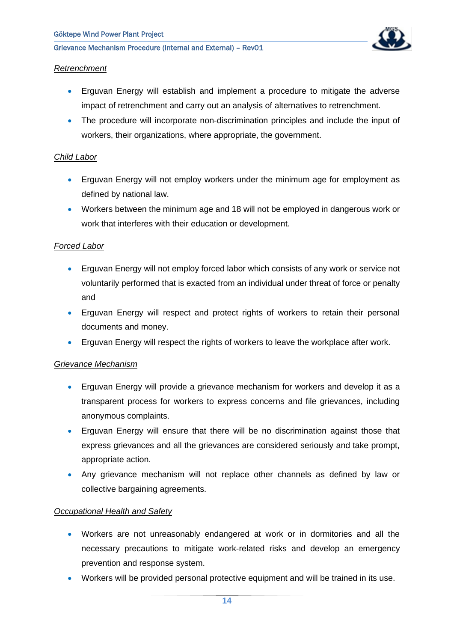

#### *Retrenchment*

- Erguvan Energy will establish and implement a procedure to mitigate the adverse impact of retrenchment and carry out an analysis of alternatives to retrenchment.
- The procedure will incorporate non-discrimination principles and include the input of workers, their organizations, where appropriate, the government.

#### *Child Labor*

- Erguvan Energy will not employ workers under the minimum age for employment as defined by national law.
- Workers between the minimum age and 18 will not be employed in dangerous work or work that interferes with their education or development.

#### *Forced Labor*

- Erguvan Energy will not employ forced labor which consists of any work or service not voluntarily performed that is exacted from an individual under threat of force or penalty and
- Erguvan Energy will respect and protect rights of workers to retain their personal documents and money.
- Erguvan Energy will respect the rights of workers to leave the workplace after work.

#### *Grievance Mechanism*

- Erguvan Energy will provide a grievance mechanism for workers and develop it as a transparent process for workers to express concerns and file grievances, including anonymous complaints.
- Erguvan Energy will ensure that there will be no discrimination against those that express grievances and all the grievances are considered seriously and take prompt, appropriate action.
- Any grievance mechanism will not replace other channels as defined by law or collective bargaining agreements.

#### *Occupational Health and Safety*

- Workers are not unreasonably endangered at work or in dormitories and all the necessary precautions to mitigate work-related risks and develop an emergency prevention and response system.
- Workers will be provided personal protective equipment and will be trained in its use.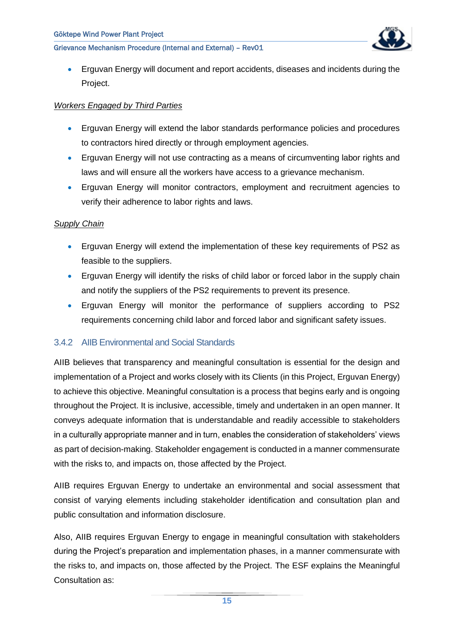

• Erguvan Energy will document and report accidents, diseases and incidents during the Project.

#### *Workers Engaged by Third Parties*

- Erguvan Energy will extend the labor standards performance policies and procedures to contractors hired directly or through employment agencies.
- Erguvan Energy will not use contracting as a means of circumventing labor rights and laws and will ensure all the workers have access to a grievance mechanism.
- Erguvan Energy will monitor contractors, employment and recruitment agencies to verify their adherence to labor rights and laws.

#### *Supply Chain*

- Erguvan Energy will extend the implementation of these key requirements of PS2 as feasible to the suppliers.
- Erguvan Energy will identify the risks of child labor or forced labor in the supply chain and notify the suppliers of the PS2 requirements to prevent its presence.
- Erguvan Energy will monitor the performance of suppliers according to PS2 requirements concerning child labor and forced labor and significant safety issues.

#### <span id="page-15-0"></span>3.4.2 AIIB Environmental and Social Standards

AIIB believes that transparency and meaningful consultation is essential for the design and implementation of a Project and works closely with its Clients (in this Project, Erguvan Energy) to achieve this objective. Meaningful consultation is a process that begins early and is ongoing throughout the Project. It is inclusive, accessible, timely and undertaken in an open manner. It conveys adequate information that is understandable and readily accessible to stakeholders in a culturally appropriate manner and in turn, enables the consideration of stakeholders' views as part of decision-making. Stakeholder engagement is conducted in a manner commensurate with the risks to, and impacts on, those affected by the Project.

AIIB requires Erguvan Energy to undertake an environmental and social assessment that consist of varying elements including stakeholder identification and consultation plan and public consultation and information disclosure.

Also, AIIB requires Erguvan Energy to engage in meaningful consultation with stakeholders during the Project's preparation and implementation phases, in a manner commensurate with the risks to, and impacts on, those affected by the Project. The ESF explains the Meaningful Consultation as: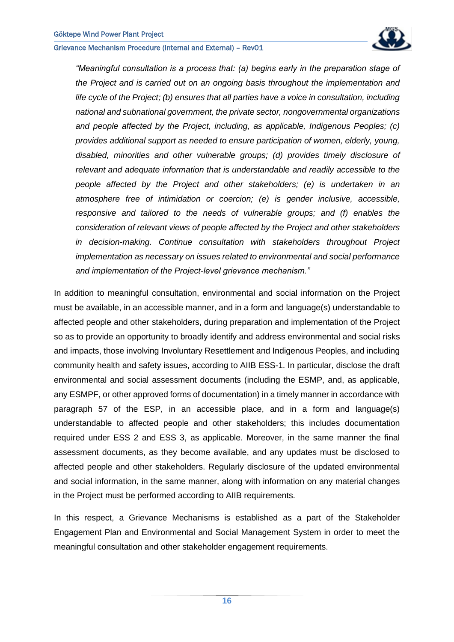

*"Meaningful consultation is a process that: (a) begins early in the preparation stage of the Project and is carried out on an ongoing basis throughout the implementation and life cycle of the Project; (b) ensures that all parties have a voice in consultation, including national and subnational government, the private sector, nongovernmental organizations and people affected by the Project, including, as applicable, Indigenous Peoples; (c) provides additional support as needed to ensure participation of women, elderly, young, disabled, minorities and other vulnerable groups; (d) provides timely disclosure of relevant and adequate information that is understandable and readily accessible to the people affected by the Project and other stakeholders; (e) is undertaken in an atmosphere free of intimidation or coercion; (e) is gender inclusive, accessible, responsive and tailored to the needs of vulnerable groups; and (f) enables the consideration of relevant views of people affected by the Project and other stakeholders in decision-making. Continue consultation with stakeholders throughout Project implementation as necessary on issues related to environmental and social performance and implementation of the Project-level grievance mechanism."* 

In addition to meaningful consultation, environmental and social information on the Project must be available, in an accessible manner, and in a form and language(s) understandable to affected people and other stakeholders, during preparation and implementation of the Project so as to provide an opportunity to broadly identify and address environmental and social risks and impacts, those involving Involuntary Resettlement and Indigenous Peoples, and including community health and safety issues, according to AIIB ESS-1. In particular, disclose the draft environmental and social assessment documents (including the ESMP, and, as applicable, any ESMPF, or other approved forms of documentation) in a timely manner in accordance with paragraph 57 of the ESP, in an accessible place, and in a form and language(s) understandable to affected people and other stakeholders; this includes documentation required under ESS 2 and ESS 3, as applicable. Moreover, in the same manner the final assessment documents, as they become available, and any updates must be disclosed to affected people and other stakeholders. Regularly disclosure of the updated environmental and social information, in the same manner, along with information on any material changes in the Project must be performed according to AIIB requirements.

In this respect, a Grievance Mechanisms is established as a part of the Stakeholder Engagement Plan and Environmental and Social Management System in order to meet the meaningful consultation and other stakeholder engagement requirements.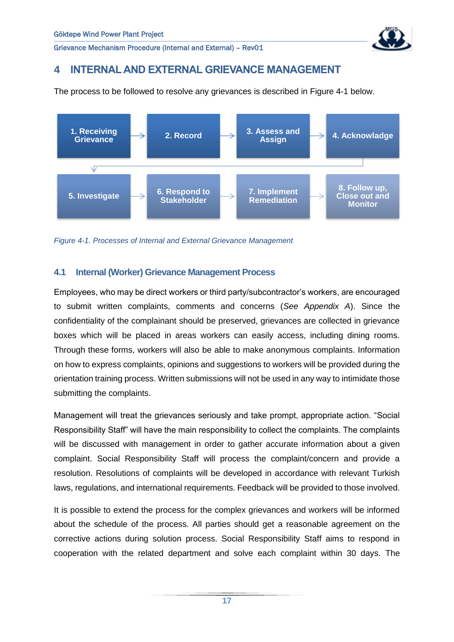

# <span id="page-17-0"></span>**4 INTERNAL AND EXTERNAL GRIEVANCE MANAGEMENT**

The process to be followed to resolve any grievances is described in [Figure 4-1](#page-17-2) below.



<span id="page-17-2"></span>*Figure 4-1. Processes of Internal and External Grievance Management* 

#### <span id="page-17-1"></span>**4.1 Internal (Worker) Grievance Management Process**

Employees, who may be direct workers or third party/subcontractor's workers, are encouraged to submit written complaints, comments and concerns (*See Appendix A*). Since the confidentiality of the complainant should be preserved, grievances are collected in grievance boxes which will be placed in areas workers can easily access, including dining rooms. Through these forms, workers will also be able to make anonymous complaints. Information on how to express complaints, opinions and suggestions to workers will be provided during the orientation training process. Written submissions will not be used in any way to intimidate those submitting the complaints.

Management will treat the grievances seriously and take prompt, appropriate action. "Social Responsibility Staff" will have the main responsibility to collect the complaints. The complaints will be discussed with management in order to gather accurate information about a given complaint. Social Responsibility Staff will process the complaint/concern and provide a resolution. Resolutions of complaints will be developed in accordance with relevant Turkish laws, regulations, and international requirements. Feedback will be provided to those involved.

It is possible to extend the process for the complex grievances and workers will be informed about the schedule of the process. All parties should get a reasonable agreement on the corrective actions during solution process. Social Responsibility Staff aims to respond in cooperation with the related department and solve each complaint within 30 days. The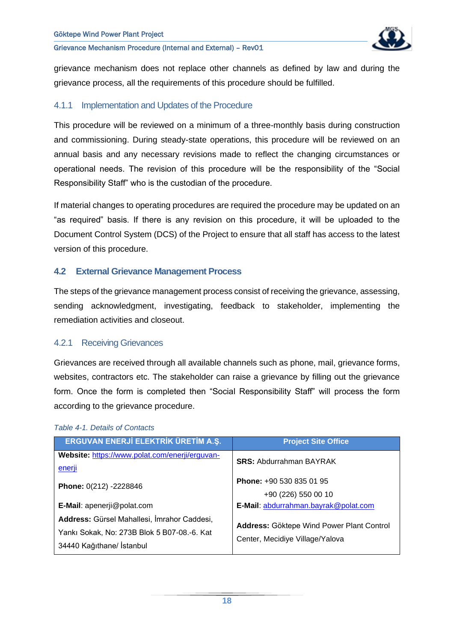

grievance mechanism does not replace other channels as defined by law and during the grievance process, all the requirements of this procedure should be fulfilled.

#### <span id="page-18-0"></span>4.1.1 Implementation and Updates of the Procedure

This procedure will be reviewed on a minimum of a three-monthly basis during construction and commissioning. During steady-state operations, this procedure will be reviewed on an annual basis and any necessary revisions made to reflect the changing circumstances or operational needs. The revision of this procedure will be the responsibility of the "Social Responsibility Staff" who is the custodian of the procedure.

If material changes to operating procedures are required the procedure may be updated on an "as required" basis. If there is any revision on this procedure, it will be uploaded to the Document Control System (DCS) of the Project to ensure that all staff has access to the latest version of this procedure.

#### <span id="page-18-1"></span>**4.2 External Grievance Management Process**

The steps of the grievance management process consist of receiving the grievance, assessing, sending acknowledgment, investigating, feedback to stakeholder, implementing the remediation activities and closeout.

#### <span id="page-18-2"></span>4.2.1 Receiving Grievances

Grievances are received through all available channels such as phone, mail, grievance forms, websites, contractors etc. The stakeholder can raise a grievance by filling out the grievance form. Once the form is completed then "Social Responsibility Staff" will process the form according to the grievance procedure.

| ERGUVAN ENERJİ ELEKTRİK ÜRETİM A.Ş.                                                                                     | <b>Project Site Office</b>                                                   |
|-------------------------------------------------------------------------------------------------------------------------|------------------------------------------------------------------------------|
| Website: https://www.polat.com/enerji/erguvan-<br>enerji                                                                | <b>SRS: Abdurrahman BAYRAK</b>                                               |
| Phone: 0(212) -2228846                                                                                                  | Phone: +90 530 835 01 95<br>+90 (226) 550 00 10                              |
| <b>E-Mail:</b> apenerji@polat.com                                                                                       | E-Mail: abdurrahman.bayrak@polat.com                                         |
| Address: Gürsel Mahallesi, İmrahor Caddesi,<br>Yankı Sokak, No: 273B Blok 5 B07-08.-6. Kat<br>34440 Kağıthane/ İstanbul | Address: Göktepe Wind Power Plant Control<br>Center, Mecidiye Village/Yalova |

#### <span id="page-18-3"></span>*Table 4-1. Details of Contacts*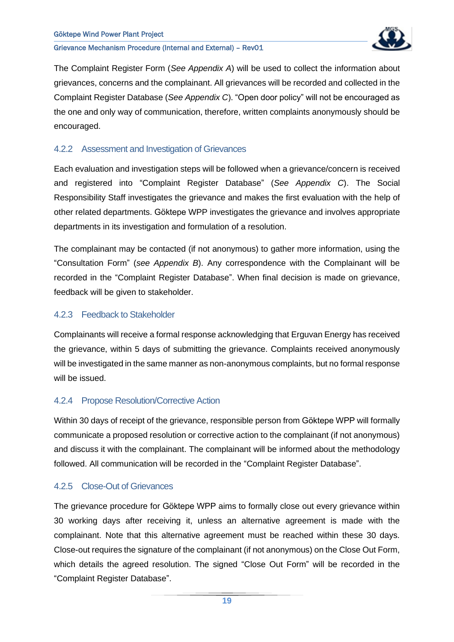

The Complaint Register Form (*See Appendix A*) will be used to collect the information about grievances, concerns and the complainant. All grievances will be recorded and collected in the Complaint Register Database (*See Appendix C*). "Open door policy" will not be encouraged as the one and only way of communication, therefore, written complaints anonymously should be encouraged.

#### <span id="page-19-0"></span>4.2.2 Assessment and Investigation of Grievances

Each evaluation and investigation steps will be followed when a grievance/concern is received and registered into "Complaint Register Database" (*See Appendix C*). The Social Responsibility Staff investigates the grievance and makes the first evaluation with the help of other related departments. Göktepe WPP investigates the grievance and involves appropriate departments in its investigation and formulation of a resolution.

The complainant may be contacted (if not anonymous) to gather more information, using the "Consultation Form" (*see Appendix B*). Any correspondence with the Complainant will be recorded in the "Complaint Register Database". When final decision is made on grievance, feedback will be given to stakeholder.

#### <span id="page-19-1"></span>4.2.3 Feedback to Stakeholder

Complainants will receive a formal response acknowledging that Erguvan Energy has received the grievance, within 5 days of submitting the grievance. Complaints received anonymously will be investigated in the same manner as non-anonymous complaints, but no formal response will be issued.

## <span id="page-19-2"></span>4.2.4 Propose Resolution/Corrective Action

Within 30 days of receipt of the grievance, responsible person from Göktepe WPP will formally communicate a proposed resolution or corrective action to the complainant (if not anonymous) and discuss it with the complainant. The complainant will be informed about the methodology followed. All communication will be recorded in the "Complaint Register Database".

#### <span id="page-19-3"></span>4.2.5 Close-Out of Grievances

The grievance procedure for Göktepe WPP aims to formally close out every grievance within 30 working days after receiving it, unless an alternative agreement is made with the complainant. Note that this alternative agreement must be reached within these 30 days. Close-out requires the signature of the complainant (if not anonymous) on the Close Out Form, which details the agreed resolution. The signed "Close Out Form" will be recorded in the "Complaint Register Database".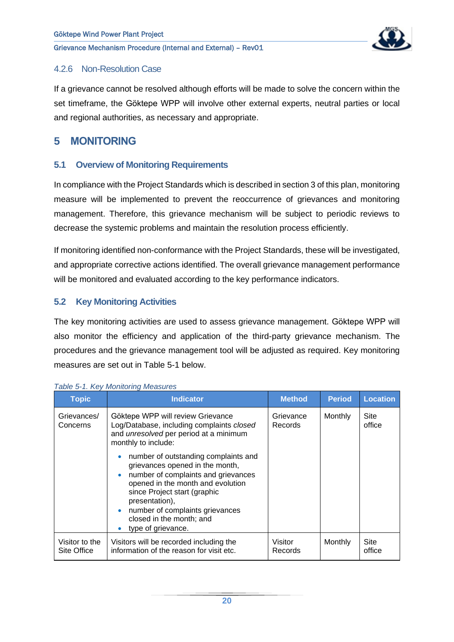

#### <span id="page-20-0"></span>4.2.6 Non-Resolution Case

If a grievance cannot be resolved although efforts will be made to solve the concern within the set timeframe, the Göktepe WPP will involve other external experts, neutral parties or local and regional authorities, as necessary and appropriate.

# <span id="page-20-1"></span>**5 MONITORING**

#### <span id="page-20-2"></span>**5.1 Overview of Monitoring Requirements**

In compliance with the Project Standards which is described in section 3 of this plan, monitoring measure will be implemented to prevent the reoccurrence of grievances and monitoring management. Therefore, this grievance mechanism will be subject to periodic reviews to decrease the systemic problems and maintain the resolution process efficiently.

If monitoring identified non-conformance with the Project Standards, these will be investigated, and appropriate corrective actions identified. The overall grievance management performance will be monitored and evaluated according to the key performance indicators.

#### <span id="page-20-3"></span>**5.2 Key Monitoring Activities**

The key monitoring activities are used to assess grievance management. Göktepe WPP will also monitor the efficiency and application of the third-party grievance mechanism. The procedures and the grievance management tool will be adjusted as required. Key monitoring measures are set out in [Table 5-1](#page-20-4) below.

| <b>Topic</b>                  | <b>Indicator</b>                                                                                                                                                                                                                                                                                                                                                                                   | <b>Method</b>        | <b>Period</b> | <b>Location</b>       |
|-------------------------------|----------------------------------------------------------------------------------------------------------------------------------------------------------------------------------------------------------------------------------------------------------------------------------------------------------------------------------------------------------------------------------------------------|----------------------|---------------|-----------------------|
| Grievances/<br>Concerns       | Göktepe WPP will review Grievance<br>Log/Database, including complaints closed<br>and <i>unresolved</i> per period at a minimum<br>monthly to include:<br>number of outstanding complaints and<br>grievances opened in the month,<br>number of complaints and grievances<br>opened in the month and evolution<br>since Project start (graphic<br>presentation),<br>number of complaints grievances | Grievance<br>Records | Monthly       | <b>Site</b><br>office |
|                               | closed in the month; and<br>type of grievance.                                                                                                                                                                                                                                                                                                                                                     |                      |               |                       |
| Visitor to the<br>Site Office | Visitors will be recorded including the<br>information of the reason for visit etc.                                                                                                                                                                                                                                                                                                                | Visitor<br>Records   | Monthly       | Site<br>office        |

<span id="page-20-4"></span>*Table 5-1. Key Monitoring Measures*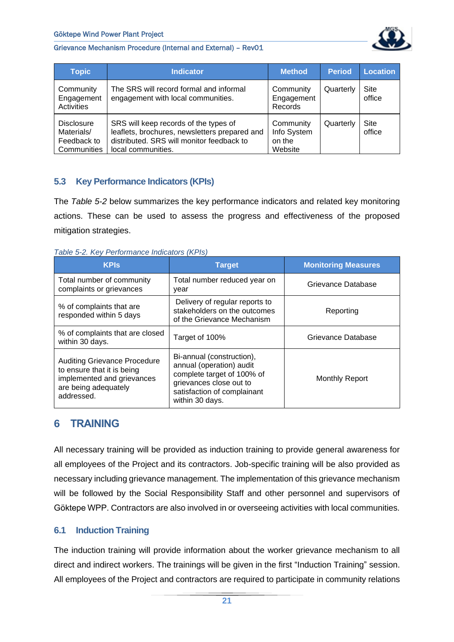

| <b>Topic</b>                                                  | <b>Indicator</b>                                                                                                                                          | <b>Method</b>                                 | <b>Period</b> | <b>Location</b> |
|---------------------------------------------------------------|-----------------------------------------------------------------------------------------------------------------------------------------------------------|-----------------------------------------------|---------------|-----------------|
| Community<br>Engagement<br>Activities                         | The SRS will record formal and informal<br>engagement with local communities.                                                                             | Community<br>Engagement<br>Records            | Quarterly     | Site<br>office  |
| <b>Disclosure</b><br>Materials/<br>Feedback to<br>Communities | SRS will keep records of the types of<br>leaflets, brochures, newsletters prepared and<br>distributed. SRS will monitor feedback to<br>local communities. | Community<br>Info System<br>on the<br>Website | Quarterly     | Site<br>office  |

#### <span id="page-21-0"></span>**5.3 Key Performance Indicators (KPIs)**

The *[Table 5-2](#page-21-3)* below summarizes the key performance indicators and related key monitoring actions. These can be used to assess the progress and effectiveness of the proposed mitigation strategies.

<span id="page-21-3"></span>*Table 5-2. Key Performance Indicators (KPIs)*

| <b>KPIs</b>                                                                                                                           | <b>Target</b>                                                                                                                                                    | <b>Monitoring Measures</b> |
|---------------------------------------------------------------------------------------------------------------------------------------|------------------------------------------------------------------------------------------------------------------------------------------------------------------|----------------------------|
| Total number of community<br>complaints or grievances                                                                                 | Total number reduced year on<br>year                                                                                                                             | Grievance Database         |
| % of complaints that are<br>responded within 5 days                                                                                   | Delivery of regular reports to<br>stakeholders on the outcomes<br>of the Grievance Mechanism                                                                     | Reporting                  |
| % of complaints that are closed<br>within 30 days.                                                                                    | Target of 100%                                                                                                                                                   | Grievance Database         |
| <b>Auditing Grievance Procedure</b><br>to ensure that it is being<br>implemented and grievances<br>are being adequately<br>addressed. | Bi-annual (construction),<br>annual (operation) audit<br>complete target of 100% of<br>grievances close out to<br>satisfaction of complainant<br>within 30 days. | <b>Monthly Report</b>      |

# <span id="page-21-1"></span>**6 TRAINING**

All necessary training will be provided as induction training to provide general awareness for all employees of the Project and its contractors. Job-specific training will be also provided as necessary including grievance management. The implementation of this grievance mechanism will be followed by the Social Responsibility Staff and other personnel and supervisors of Göktepe WPP. Contractors are also involved in or overseeing activities with local communities.

#### <span id="page-21-2"></span>**6.1 Induction Training**

The induction training will provide information about the worker grievance mechanism to all direct and indirect workers. The trainings will be given in the first "Induction Training" session. All employees of the Project and contractors are required to participate in community relations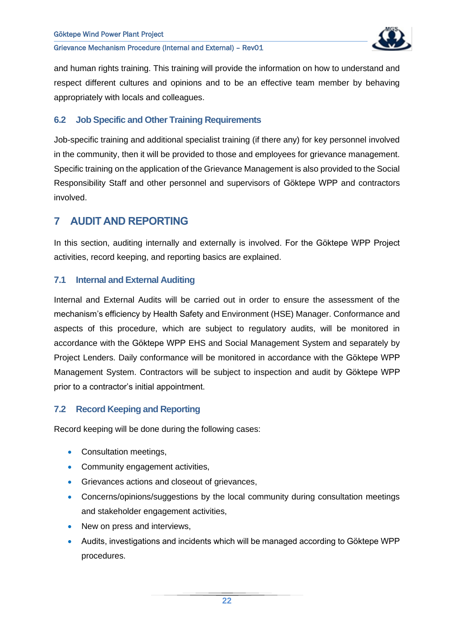

and human rights training. This training will provide the information on how to understand and respect different cultures and opinions and to be an effective team member by behaving appropriately with locals and colleagues.

#### <span id="page-22-0"></span>**6.2 Job Specific and Other Training Requirements**

Job-specific training and additional specialist training (if there any) for key personnel involved in the community, then it will be provided to those and employees for grievance management. Specific training on the application of the Grievance Management is also provided to the Social Responsibility Staff and other personnel and supervisors of Göktepe WPP and contractors involved.

# <span id="page-22-1"></span>**7 AUDIT AND REPORTING**

In this section, auditing internally and externally is involved. For the Göktepe WPP Project activities, record keeping, and reporting basics are explained.

#### <span id="page-22-2"></span>**7.1 Internal and External Auditing**

Internal and External Audits will be carried out in order to ensure the assessment of the mechanism's efficiency by Health Safety and Environment (HSE) Manager. Conformance and aspects of this procedure, which are subject to regulatory audits, will be monitored in accordance with the Göktepe WPP EHS and Social Management System and separately by Project Lenders. Daily conformance will be monitored in accordance with the Göktepe WPP Management System. Contractors will be subject to inspection and audit by Göktepe WPP prior to a contractor's initial appointment.

#### <span id="page-22-3"></span>**7.2 Record Keeping and Reporting**

Record keeping will be done during the following cases:

- Consultation meetings,
- Community engagement activities,
- Grievances actions and closeout of grievances,
- Concerns/opinions/suggestions by the local community during consultation meetings and stakeholder engagement activities,
- New on press and interviews,
- Audits, investigations and incidents which will be managed according to Göktepe WPP procedures.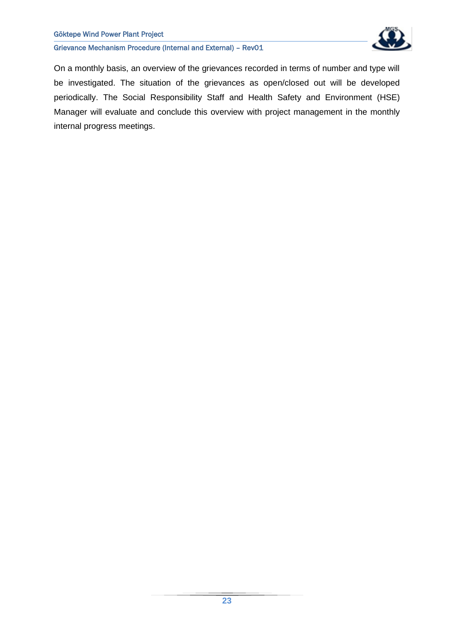#### Göktepe Wind Power Plant Project

Grievance Mechanism Procedure (Internal and External) – Rev01



On a monthly basis, an overview of the grievances recorded in terms of number and type will be investigated. The situation of the grievances as open/closed out will be developed periodically. The Social Responsibility Staff and Health Safety and Environment (HSE) Manager will evaluate and conclude this overview with project management in the monthly internal progress meetings.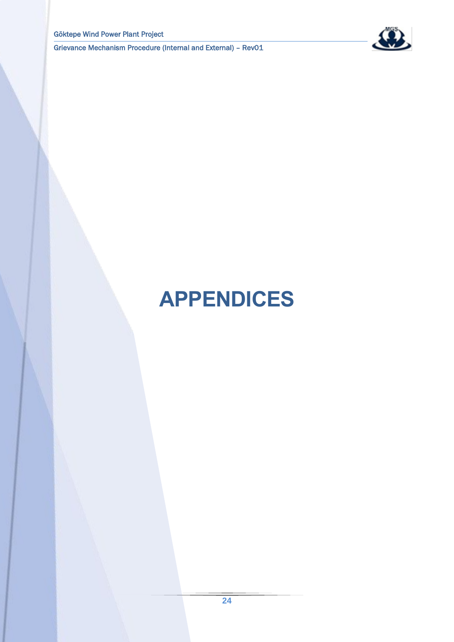

# <span id="page-24-0"></span>**APPENDICES**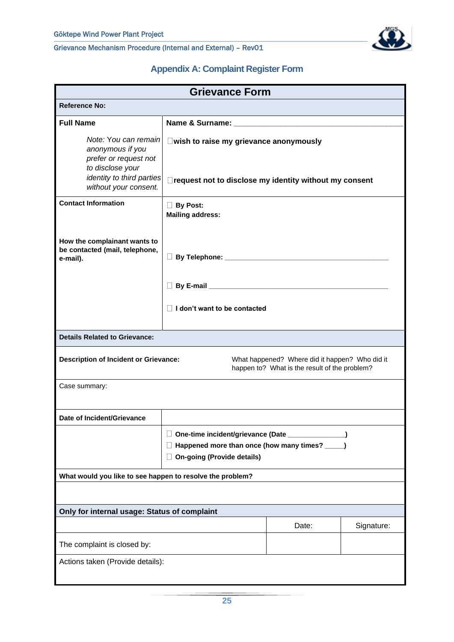

# **Appendix A: Complaint Register Form**

<span id="page-25-0"></span>

| <b>Grievance Form</b>                                                                                                                           |                                                                                                                                                        |       |            |  |
|-------------------------------------------------------------------------------------------------------------------------------------------------|--------------------------------------------------------------------------------------------------------------------------------------------------------|-------|------------|--|
| <b>Reference No:</b>                                                                                                                            |                                                                                                                                                        |       |            |  |
| <b>Full Name</b>                                                                                                                                |                                                                                                                                                        |       |            |  |
| Note: You can remain<br>anonymous if you<br>prefer or request not<br>to disclose your<br>identity to third parties<br>without your consent.     | □ wish to raise my grievance anonymously<br>□ request not to disclose my identity without my consent                                                   |       |            |  |
| <b>Contact Information</b>                                                                                                                      | <b>By Post:</b><br><b>Mailing address:</b>                                                                                                             |       |            |  |
| How the complainant wants to<br>be contacted (mail, telephone,<br>e-mail).                                                                      |                                                                                                                                                        |       |            |  |
|                                                                                                                                                 |                                                                                                                                                        |       |            |  |
|                                                                                                                                                 | $\Box$ I don't want to be contacted                                                                                                                    |       |            |  |
| <b>Details Related to Grievance:</b>                                                                                                            |                                                                                                                                                        |       |            |  |
| <b>Description of Incident or Grievance:</b><br>What happened? Where did it happen? Who did it<br>happen to? What is the result of the problem? |                                                                                                                                                        |       |            |  |
| Case summary:                                                                                                                                   |                                                                                                                                                        |       |            |  |
| Date of Incident/Grievance                                                                                                                      |                                                                                                                                                        |       |            |  |
|                                                                                                                                                 | One-time incident/grievance (Date ________<br>$\Box$<br>Happened more than once (how many times? ____)<br>Ш<br><b>On-going (Provide details)</b><br>U. |       |            |  |
| What would you like to see happen to resolve the problem?                                                                                       |                                                                                                                                                        |       |            |  |
|                                                                                                                                                 |                                                                                                                                                        |       |            |  |
| Only for internal usage: Status of complaint                                                                                                    |                                                                                                                                                        |       |            |  |
|                                                                                                                                                 |                                                                                                                                                        | Date: | Signature: |  |
| The complaint is closed by:                                                                                                                     |                                                                                                                                                        |       |            |  |
| Actions taken (Provide details):                                                                                                                |                                                                                                                                                        |       |            |  |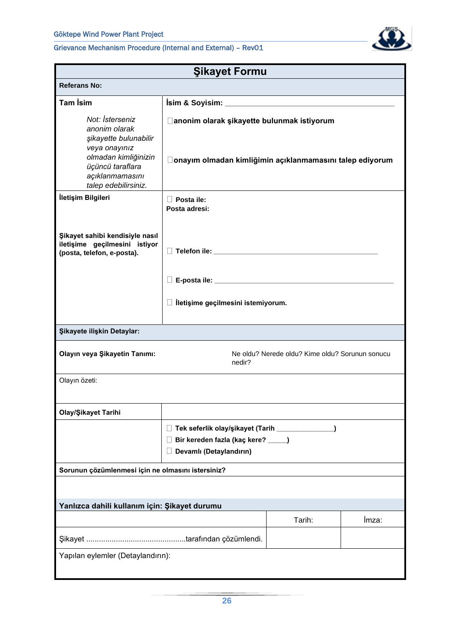

| <b>Şikayet Formu</b>                                                                                                                                              |                                                                                                                         |        |       |  |  |  |  |  |
|-------------------------------------------------------------------------------------------------------------------------------------------------------------------|-------------------------------------------------------------------------------------------------------------------------|--------|-------|--|--|--|--|--|
| <b>Referans No:</b>                                                                                                                                               |                                                                                                                         |        |       |  |  |  |  |  |
| <b>Tam İsim</b>                                                                                                                                                   |                                                                                                                         |        |       |  |  |  |  |  |
| Not: İsterseniz<br>anonim olarak<br>şikayette bulunabilir<br>veya onayınız<br>olmadan kimliğinizin<br>üçüncü taraflara<br>açıklanmamasını<br>talep edebilirsiniz. | □ anonim olarak şikayette bulunmak istiyorum<br>□onayım olmadan kimliğimin açıklanmamasını talep ediyorum               |        |       |  |  |  |  |  |
| İletişim Bilgileri                                                                                                                                                | $\Box$ Posta ile:<br>Posta adresi:                                                                                      |        |       |  |  |  |  |  |
| Şikayet sahibi kendisiyle nasıl<br>iletişime geçilmesini istiyor<br>(posta, telefon, e-posta).                                                                    |                                                                                                                         |        |       |  |  |  |  |  |
|                                                                                                                                                                   |                                                                                                                         |        |       |  |  |  |  |  |
|                                                                                                                                                                   | $\Box$ lletişime geçilmesini istemiyorum.                                                                               |        |       |  |  |  |  |  |
| Şikayete ilişkin Detaylar:                                                                                                                                        |                                                                                                                         |        |       |  |  |  |  |  |
| Olayın veya Şikayetin Tanımı:                                                                                                                                     | Ne oldu? Nerede oldu? Kime oldu? Sorunun sonucu<br>nedir?                                                               |        |       |  |  |  |  |  |
| Olayın özeti:                                                                                                                                                     |                                                                                                                         |        |       |  |  |  |  |  |
| Olay/Şikayet Tarihi                                                                                                                                               |                                                                                                                         |        |       |  |  |  |  |  |
|                                                                                                                                                                   | □ Tek seferlik olay/şikayet (Tarih ______________<br>Bir kereden fazla (kaç kere? ____)<br>Ц<br>Devamlı (Detaylandırın) |        |       |  |  |  |  |  |
| Sorunun çözümlenmesi için ne olmasını istersiniz?                                                                                                                 |                                                                                                                         |        |       |  |  |  |  |  |
|                                                                                                                                                                   |                                                                                                                         |        |       |  |  |  |  |  |
| Yanlızca dahili kullanım için: Şikayet durumu                                                                                                                     |                                                                                                                         |        |       |  |  |  |  |  |
|                                                                                                                                                                   |                                                                                                                         | Tarih: | Imza: |  |  |  |  |  |
|                                                                                                                                                                   |                                                                                                                         |        |       |  |  |  |  |  |
| Yapılan eylemler (Detaylandırın):                                                                                                                                 |                                                                                                                         |        |       |  |  |  |  |  |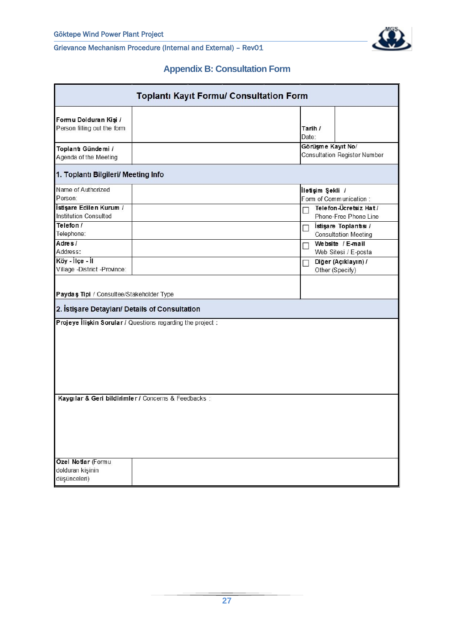

# **Appendix B: Consultation Form**

<span id="page-27-0"></span>

| <b>Toplantı Kayıt Formu/ Consultation Form</b>                                                                                                                                                                                                                                                                                                                                                                                                                                                              |                                                          |  |  |  |  |  |  |  |  |
|-------------------------------------------------------------------------------------------------------------------------------------------------------------------------------------------------------------------------------------------------------------------------------------------------------------------------------------------------------------------------------------------------------------------------------------------------------------------------------------------------------------|----------------------------------------------------------|--|--|--|--|--|--|--|--|
| Formu Dolduran Kişi /<br>Person filling out the form                                                                                                                                                                                                                                                                                                                                                                                                                                                        | Tarih /<br>Date:                                         |  |  |  |  |  |  |  |  |
| Toplant Gündemi /<br>Agenda of the Meeting                                                                                                                                                                                                                                                                                                                                                                                                                                                                  | Görüşme Kayıt No/<br><b>Consultation Register Number</b> |  |  |  |  |  |  |  |  |
| 1. Toplantı Bilgileri/ Meeting Info                                                                                                                                                                                                                                                                                                                                                                                                                                                                         |                                                          |  |  |  |  |  |  |  |  |
| Name of Authorized<br>İletişim Şekli /<br>Person:<br>Form of Communication:<br>İstişare Edilen Kurum /<br>Telefon-Ücretsiz Hat /<br>П<br><b>Institution Consulted</b><br>Phone-Free Phone Line<br>Telefon /<br>İstişare Toplantısı /<br>П<br>Telephone:<br><b>Consultation Meeting</b><br>Adres/<br>Website / E-mail<br>П<br>Address:<br>Web Sitesi / E-posta<br>Köy - İlçe - İl<br>Diğer (Açıklayın) /<br>П<br>Village -District -Province:<br>Other (Specify)<br>Paydaş Tipi / Consultee/Stakeholder Type |                                                          |  |  |  |  |  |  |  |  |
| 2. İstişare Detayları/ Details of Consultation<br>Projeye Iliskin Sorular / Questions regarding the project :                                                                                                                                                                                                                                                                                                                                                                                               |                                                          |  |  |  |  |  |  |  |  |
| Kaygılar & Geri bildirimler / Concerns & Feedbacks :<br>Özel Notlar (Formu<br>dolduran kişinin<br>düşünceleri)                                                                                                                                                                                                                                                                                                                                                                                              |                                                          |  |  |  |  |  |  |  |  |